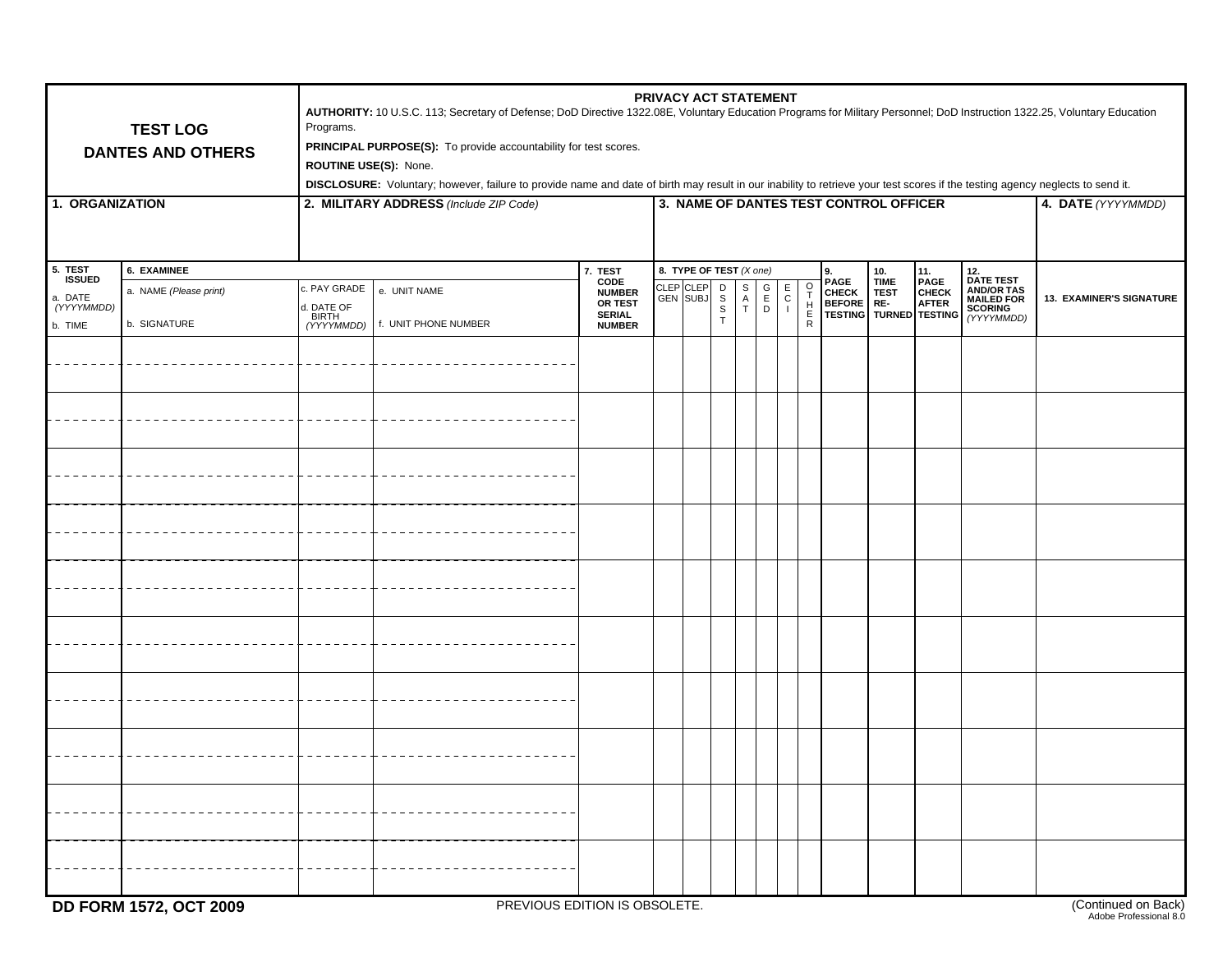| <b>TEST LOG</b><br><b>DANTES AND OTHERS</b>           |                                                       | PRIVACY ACT STATEMENT<br>AUTHORITY: 10 U.S.C. 113; Secretary of Defense; DoD Directive 1322.08E, Voluntary Education Programs for Military Personnel; DoD Instruction 1322.25, Voluntary Education<br>Programs.<br>PRINCIPAL PURPOSE(S): To provide accountability for test scores.<br>ROUTINE USE(S): None.<br>DISCLOSURE: Voluntary; however, failure to provide name and date of birth may result in our inability to retrieve your test scores if the testing agency neglects to send it.<br>3. NAME OF DANTES TEST CONTROL OFFICER<br>4. DATE (YYYYMMDD) |                                      |                                                                               |                       |  |                                                            |                                   |                                                                              |                                                           |  |  |  |                                                                                                                                |                          |
|-------------------------------------------------------|-------------------------------------------------------|---------------------------------------------------------------------------------------------------------------------------------------------------------------------------------------------------------------------------------------------------------------------------------------------------------------------------------------------------------------------------------------------------------------------------------------------------------------------------------------------------------------------------------------------------------------|--------------------------------------|-------------------------------------------------------------------------------|-----------------------|--|------------------------------------------------------------|-----------------------------------|------------------------------------------------------------------------------|-----------------------------------------------------------|--|--|--|--------------------------------------------------------------------------------------------------------------------------------|--------------------------|
| 1. ORGANIZATION                                       |                                                       | 2. MILITARY ADDRESS (Include ZIP Code)                                                                                                                                                                                                                                                                                                                                                                                                                                                                                                                        |                                      |                                                                               |                       |  |                                                            |                                   |                                                                              |                                                           |  |  |  |                                                                                                                                |                          |
| 5. TEST<br>ISSUED<br>a. DATE<br>(YYYYMMDD)<br>b. TIME | 6. EXAMINEE<br>a. NAME (Please print)<br>b. SIGNATURE | . PAY GRADE<br>I. DATE OF<br>BIRTH<br>(YYYYMMDD)                                                                                                                                                                                                                                                                                                                                                                                                                                                                                                              | e. UNIT NAME<br>f. UNIT PHONE NUMBER | 7. TEST<br>CODE<br><b>NUMBER</b><br>OR TEST<br><b>SERIAL</b><br><b>NUMBER</b> | CLEP CLEP<br>GEN SUBJ |  | 8. TYPE OF TEST $(X \text{ one})$<br>S<br>$\mathbb S$<br>T | $_{\rm A}^{\rm S}$<br>$\mathsf T$ | $_{\rm C}^{\rm E}$<br>$\begin{bmatrix} G \\ E \\ D \end{bmatrix}$<br>$\perp$ | o<br>T<br>$\begin{array}{c} H\\ \overline{R} \end{array}$ |  |  |  | 9.<br>PAGE TIME PAGE DATE TEST<br>CHECK TEST CHECK AND/OR TAS<br>BEFORE RE- AFTER MALLED FOR TESTING TURNED TESTING (YYYYMMDD) | 13. EXAMINER'S SIGNATURE |
|                                                       |                                                       |                                                                                                                                                                                                                                                                                                                                                                                                                                                                                                                                                               |                                      |                                                                               |                       |  |                                                            |                                   |                                                                              |                                                           |  |  |  |                                                                                                                                |                          |
|                                                       |                                                       |                                                                                                                                                                                                                                                                                                                                                                                                                                                                                                                                                               |                                      |                                                                               |                       |  |                                                            |                                   |                                                                              |                                                           |  |  |  |                                                                                                                                |                          |
|                                                       |                                                       |                                                                                                                                                                                                                                                                                                                                                                                                                                                                                                                                                               |                                      |                                                                               |                       |  |                                                            |                                   |                                                                              |                                                           |  |  |  |                                                                                                                                |                          |
|                                                       |                                                       |                                                                                                                                                                                                                                                                                                                                                                                                                                                                                                                                                               |                                      |                                                                               |                       |  |                                                            |                                   |                                                                              |                                                           |  |  |  |                                                                                                                                |                          |
|                                                       |                                                       |                                                                                                                                                                                                                                                                                                                                                                                                                                                                                                                                                               |                                      |                                                                               |                       |  |                                                            |                                   |                                                                              |                                                           |  |  |  |                                                                                                                                |                          |
|                                                       |                                                       |                                                                                                                                                                                                                                                                                                                                                                                                                                                                                                                                                               |                                      |                                                                               |                       |  |                                                            |                                   |                                                                              |                                                           |  |  |  |                                                                                                                                |                          |
|                                                       |                                                       |                                                                                                                                                                                                                                                                                                                                                                                                                                                                                                                                                               |                                      |                                                                               |                       |  |                                                            |                                   |                                                                              |                                                           |  |  |  |                                                                                                                                |                          |
|                                                       |                                                       |                                                                                                                                                                                                                                                                                                                                                                                                                                                                                                                                                               |                                      |                                                                               |                       |  |                                                            |                                   |                                                                              |                                                           |  |  |  |                                                                                                                                |                          |
|                                                       |                                                       |                                                                                                                                                                                                                                                                                                                                                                                                                                                                                                                                                               |                                      |                                                                               |                       |  |                                                            |                                   |                                                                              |                                                           |  |  |  |                                                                                                                                |                          |
|                                                       |                                                       |                                                                                                                                                                                                                                                                                                                                                                                                                                                                                                                                                               |                                      |                                                                               |                       |  |                                                            |                                   |                                                                              |                                                           |  |  |  |                                                                                                                                |                          |